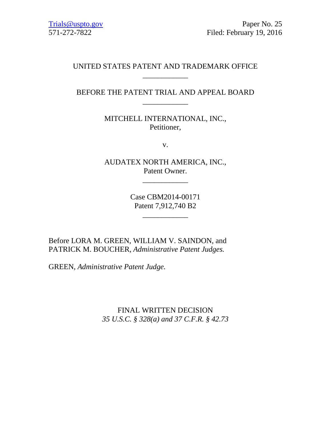# UNITED STATES PATENT AND TRADEMARK OFFICE \_\_\_\_\_\_\_\_\_\_\_\_

# BEFORE THE PATENT TRIAL AND APPEAL BOARD \_\_\_\_\_\_\_\_\_\_\_\_

MITCHELL INTERNATIONAL, INC., Petitioner,

v.

AUDATEX NORTH AMERICA, INC., Patent Owner.

\_\_\_\_\_\_\_\_\_\_\_\_

Case CBM2014-00171 Patent 7,912,740 B2

\_\_\_\_\_\_\_\_\_\_\_\_

Before LORA M. GREEN, WILLIAM V. SAINDON, and PATRICK M. BOUCHER, *Administrative Patent Judges.*

GREEN, *Administrative Patent Judge.*

FINAL WRITTEN DECISION *35 U.S.C. § 328(a) and 37 C.F.R. § 42.73*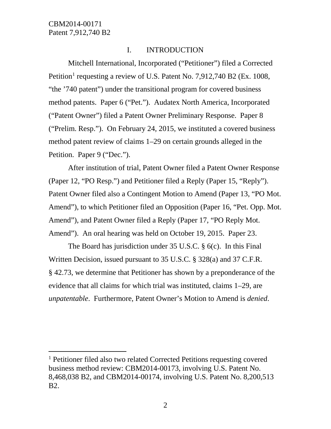# I. INTRODUCTION

Mitchell International, Incorporated ("Petitioner") filed a Corrected Petition<sup>[1](#page-1-0)</sup> requesting a review of U.S. Patent No. 7,912,740 B2 (Ex. 1008, "the '740 patent") under the transitional program for covered business method patents. Paper 6 ("Pet."). Audatex North America, Incorporated ("Patent Owner") filed a Patent Owner Preliminary Response. Paper 8 ("Prelim. Resp."). On February 24, 2015, we instituted a covered business method patent review of claims 1–29 on certain grounds alleged in the Petition. Paper 9 ("Dec.").

After institution of trial, Patent Owner filed a Patent Owner Response (Paper 12, "PO Resp.") and Petitioner filed a Reply (Paper 15, "Reply"). Patent Owner filed also a Contingent Motion to Amend (Paper 13, "PO Mot. Amend"), to which Petitioner filed an Opposition (Paper 16, "Pet. Opp. Mot. Amend"), and Patent Owner filed a Reply (Paper 17, "PO Reply Mot. Amend"). An oral hearing was held on October 19, 2015. Paper 23.

The Board has jurisdiction under 35 U.S.C. § 6(c). In this Final Written Decision, issued pursuant to 35 U.S.C. § 328(a) and 37 C.F.R. § 42.73, we determine that Petitioner has shown by a preponderance of the evidence that all claims for which trial was instituted, claims 1–29, are *unpatentable*. Furthermore, Patent Owner's Motion to Amend is *denied*.

<span id="page-1-0"></span> <sup>1</sup> Petitioner filed also two related Corrected Petitions requesting covered business method review: CBM2014-00173, involving U.S. Patent No. 8,468,038 B2, and CBM2014-00174, involving U.S. Patent No. 8,200,513 B2.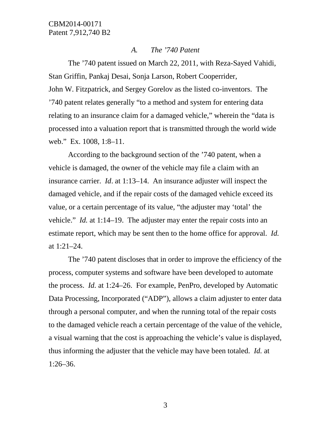#### *A. The '740 Patent*

The '740 patent issued on March 22, 2011, with Reza-Sayed Vahidi, Stan Griffin, Pankaj Desai, Sonja Larson, Robert Cooperrider, John W. Fitzpatrick, and Sergey Gorelov as the listed co-inventors. The '740 patent relates generally "to a method and system for entering data relating to an insurance claim for a damaged vehicle," wherein the "data is processed into a valuation report that is transmitted through the world wide web." Ex. 1008, 1:8–11.

According to the background section of the '740 patent, when a vehicle is damaged, the owner of the vehicle may file a claim with an insurance carrier. *Id*. at 1:13–14. An insurance adjuster will inspect the damaged vehicle, and if the repair costs of the damaged vehicle exceed its value, or a certain percentage of its value, "the adjuster may 'total' the vehicle." *Id.* at 1:14–19. The adjuster may enter the repair costs into an estimate report, which may be sent then to the home office for approval. *Id.* at 1:21–24.

The '740 patent discloses that in order to improve the efficiency of the process, computer systems and software have been developed to automate the process. *Id.* at 1:24–26. For example, PenPro, developed by Automatic Data Processing, Incorporated ("ADP"), allows a claim adjuster to enter data through a personal computer, and when the running total of the repair costs to the damaged vehicle reach a certain percentage of the value of the vehicle, a visual warning that the cost is approaching the vehicle's value is displayed, thus informing the adjuster that the vehicle may have been totaled. *Id.* at 1:26–36.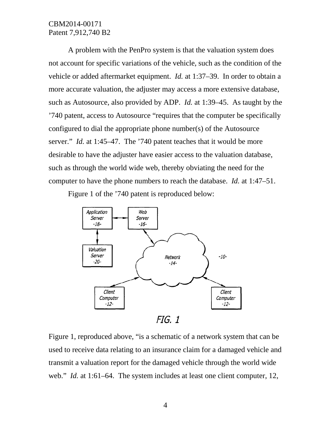A problem with the PenPro system is that the valuation system does not account for specific variations of the vehicle, such as the condition of the vehicle or added aftermarket equipment. *Id.* at 1:37–39. In order to obtain a more accurate valuation, the adjuster may access a more extensive database, such as Autosource, also provided by ADP. *Id.* at 1:39–45. As taught by the '740 patent, access to Autosource "requires that the computer be specifically configured to dial the appropriate phone number(s) of the Autosource server." *Id.* at 1:45–47. The '740 patent teaches that it would be more desirable to have the adjuster have easier access to the valuation database, such as through the world wide web, thereby obviating the need for the computer to have the phone numbers to reach the database. *Id.* at 1:47–51.

Figure 1 of the '740 patent is reproduced below:



Figure 1, reproduced above, "is a schematic of a network system that can be used to receive data relating to an insurance claim for a damaged vehicle and transmit a valuation report for the damaged vehicle through the world wide web." *Id.* at 1:61–64. The system includes at least one client computer, 12,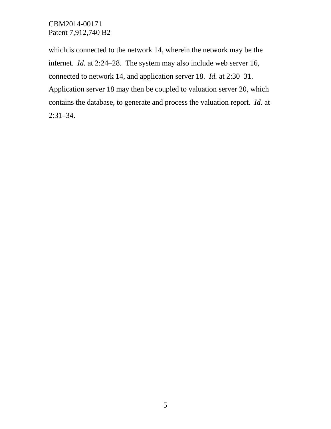which is connected to the network 14, wherein the network may be the internet. *Id.* at 2:24–28. The system may also include web server 16, connected to network 14, and application server 18. *Id.* at 2:30–31. Application server 18 may then be coupled to valuation server 20, which contains the database, to generate and process the valuation report. *Id.* at 2:31–34.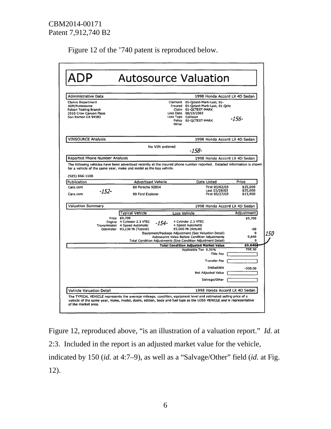Figure 12 of the '740 patent is reproduced below.

|                                                                                                                            |                                                                                                                                                  | <b>Autosource Valuation</b>                                                                                                                                                            |                                            |
|----------------------------------------------------------------------------------------------------------------------------|--------------------------------------------------------------------------------------------------------------------------------------------------|----------------------------------------------------------------------------------------------------------------------------------------------------------------------------------------|--------------------------------------------|
| Administrative Data                                                                                                        |                                                                                                                                                  | 1998 Honda Accord LX 4D Sedan                                                                                                                                                          |                                            |
| <b>Claims Department</b><br>ADP/Autosource<br><b>Falcon Testing Branch</b><br>2010 Crow Canyon Place<br>San Ramon CA 94583 |                                                                                                                                                  | Claimant<br>01-Qctest-Mark-Last, 01-<br>Insured 01-Octest-Mark-Last, 01-Octe<br>Claim 01-OCTEST-MARK<br>Loss Date 08/19/2003<br>Loss Type Collision<br>Policy 01-QCTEST-MARK<br>Other  | $-156-$                                    |
| <b>VINSOURCE Analysis</b>                                                                                                  |                                                                                                                                                  | 1998 Honda Accord LX 4D Sedan                                                                                                                                                          |                                            |
|                                                                                                                            | No VIN entered                                                                                                                                   | -158-                                                                                                                                                                                  |                                            |
| Reported Phone Number Analysis                                                                                             |                                                                                                                                                  | 1998 Honda Accord LX 4D Sedan                                                                                                                                                          |                                            |
|                                                                                                                            |                                                                                                                                                  |                                                                                                                                                                                        |                                            |
| Publication<br>Cars.com<br>$-152-$<br>Cars.com                                                                             | <b>Advertised Vehicle</b><br>89 Porsche 928S4<br>99 Ford Explorer                                                                                | Date Listed<br>First 03/02/03<br>Last 03/29/03<br>First 05/27/03                                                                                                                       | Price<br>\$25,000<br>\$25,000<br>\$13,900  |
| <b>Valuation Summary</b>                                                                                                   |                                                                                                                                                  | 1998 Honda Accord LX 4D Sedan                                                                                                                                                          |                                            |
|                                                                                                                            | <b>Typical Vehicle</b><br>Price \$9,700<br>Engine 4 Cylinder 2.3 VTEC<br>-154-<br>Transmission 4 Speed Automatic<br>Odometer 83,230 Mi (Typical) | Loss Vehicle<br>4 Cylinder 2.3 VTEC<br>4 Speed Automatic<br>85,000 Mi (Actual)<br>Equipment/Package Adjustment (See Valuation Detail)<br>Autosource Value Before Condition Adjustments | Adjustment<br>\$9,700<br>-60<br>Λ<br>9,640 |
|                                                                                                                            |                                                                                                                                                  | Total Condition Adjustments (See Condition Adjustment Detail)                                                                                                                          |                                            |
|                                                                                                                            |                                                                                                                                                  | <b>Total Condition Adjusted Market Value</b><br>Applicable Tax 8.25%<br><b>Title Fee</b><br>Transfer Fee<br>Deductible<br><b>Net Adjusted Value</b><br>Salvage/Other                   | \$9,640<br>795.30<br>$-500.00$             |

Figure 12, reproduced above, "is an illustration of a valuation report." *Id.* at 2:3. Included in the report is an adjusted market value for the vehicle, indicated by 150 (*id.* at 4:7–9), as well as a "Salvage/Other" field (*id.* at Fig. 12).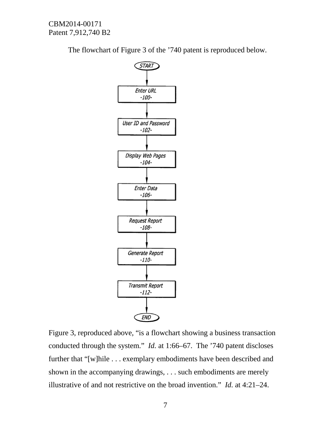The flowchart of Figure 3 of the '740 patent is reproduced below.



Figure 3, reproduced above, "is a flowchart showing a business transaction conducted through the system." *Id.* at 1:66–67. The '740 patent discloses further that "[w]hile . . . exemplary embodiments have been described and shown in the accompanying drawings, . . . such embodiments are merely illustrative of and not restrictive on the broad invention." *Id.* at 4:21–24.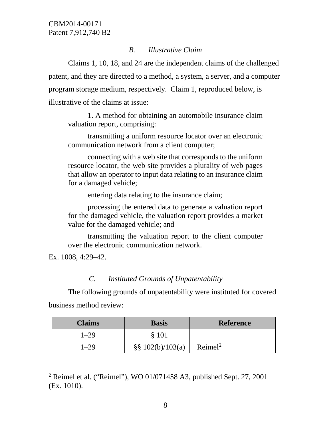# *B. Illustrative Claim*

Claims 1, 10, 18, and 24 are the independent claims of the challenged patent, and they are directed to a method, a system, a server, and a computer program storage medium, respectively. Claim 1, reproduced below, is illustrative of the claims at issue:

1. A method for obtaining an automobile insurance claim valuation report, comprising:

transmitting a uniform resource locator over an electronic communication network from a client computer;

connecting with a web site that corresponds to the uniform resource locator, the web site provides a plurality of web pages that allow an operator to input data relating to an insurance claim for a damaged vehicle;

entering data relating to the insurance claim;

processing the entered data to generate a valuation report for the damaged vehicle, the valuation report provides a market value for the damaged vehicle; and

transmitting the valuation report to the client computer over the electronic communication network.

Ex. 1008, 4:29–42.

# *C. Instituted Grounds of Unpatentability*

The following grounds of unpatentability were instituted for covered business method review:

| <b>Claims</b> | <b>Basis</b>         | <b>Reference</b>    |
|---------------|----------------------|---------------------|
| 1–29          | § 101                |                     |
| 1–29          | $\S\S 102(b)/103(a)$ | Reimel <sup>2</sup> |

<span id="page-7-0"></span><sup>&</sup>lt;sup>2</sup> Reimel et al. ("Reimel"), WO 01/071458 A3, published Sept. 27, 2001 (Ex. 1010).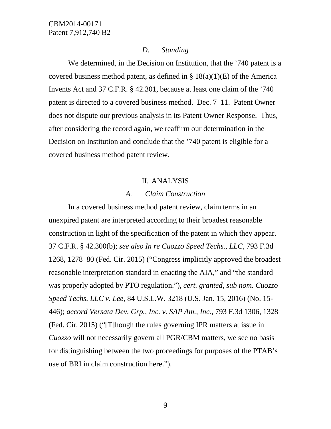#### *D. Standing*

We determined, in the Decision on Institution, that the '740 patent is a covered business method patent, as defined in  $\S 18(a)(1)(E)$  of the America Invents Act and 37 C.F.R. § 42.301, because at least one claim of the '740 patent is directed to a covered business method. Dec. 7–11. Patent Owner does not dispute our previous analysis in its Patent Owner Response. Thus, after considering the record again, we reaffirm our determination in the Decision on Institution and conclude that the '740 patent is eligible for a covered business method patent review.

#### II. ANALYSIS

#### *A. Claim Construction*

In a covered business method patent review, claim terms in an unexpired patent are interpreted according to their broadest reasonable construction in light of the specification of the patent in which they appear. 37 C.F.R. § 42.300(b); *see also In re Cuozzo Speed Techs., LLC*, 793 F.3d 1268, 1278–80 (Fed. Cir. 2015) ("Congress implicitly approved the broadest reasonable interpretation standard in enacting the AIA," and "the standard was properly adopted by PTO regulation."), *cert. granted*, *sub nom. Cuozzo Speed Techs. LLC v. Lee*, 84 U.S.L.W. 3218 (U.S. Jan. 15, 2016) (No. 15- 446); *accord Versata Dev. Grp., Inc. v. SAP Am., Inc.*, 793 F.3d 1306, 1328 (Fed. Cir. 2015) ("[T]hough the rules governing IPR matters at issue in *Cuozzo* will not necessarily govern all PGR/CBM matters, we see no basis for distinguishing between the two proceedings for purposes of the PTAB's use of BRI in claim construction here.").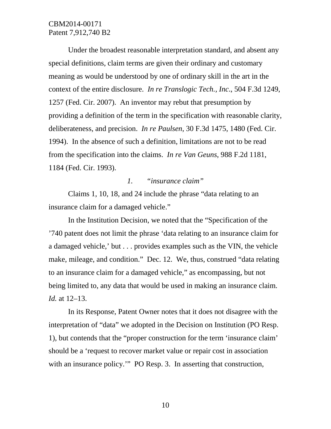Under the broadest reasonable interpretation standard, and absent any special definitions, claim terms are given their ordinary and customary meaning as would be understood by one of ordinary skill in the art in the context of the entire disclosure. *In re Translogic Tech., Inc*., 504 F.3d 1249, 1257 (Fed. Cir. 2007). An inventor may rebut that presumption by providing a definition of the term in the specification with reasonable clarity, deliberateness, and precision. *In re Paulsen*, 30 F.3d 1475, 1480 (Fed. Cir. 1994). In the absence of such a definition, limitations are not to be read from the specification into the claims. *In re Van Geuns*, 988 F.2d 1181, 1184 (Fed. Cir. 1993).

### *1. "insurance claim"*

Claims 1, 10, 18, and 24 include the phrase "data relating to an insurance claim for a damaged vehicle."

In the Institution Decision, we noted that the "Specification of the '740 patent does not limit the phrase 'data relating to an insurance claim for a damaged vehicle,' but . . . provides examples such as the VIN, the vehicle make, mileage, and condition." Dec. 12. We, thus, construed "data relating to an insurance claim for a damaged vehicle," as encompassing, but not being limited to, any data that would be used in making an insurance claim. *Id.* at 12–13.

In its Response, Patent Owner notes that it does not disagree with the interpretation of "data" we adopted in the Decision on Institution (PO Resp. 1), but contends that the "proper construction for the term 'insurance claim' should be a 'request to recover market value or repair cost in association with an insurance policy." PO Resp. 3. In asserting that construction,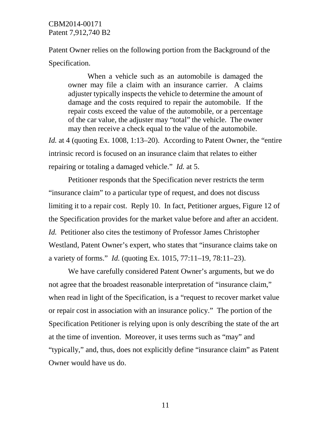Patent Owner relies on the following portion from the Background of the Specification.

When a vehicle such as an automobile is damaged the owner may file a claim with an insurance carrier. A claims adjuster typically inspects the vehicle to determine the amount of damage and the costs required to repair the automobile. If the repair costs exceed the value of the automobile, or a percentage of the car value, the adjuster may "total" the vehicle. The owner may then receive a check equal to the value of the automobile.

*Id.* at 4 (quoting Ex. 1008, 1:13–20). According to Patent Owner, the "entire" intrinsic record is focused on an insurance claim that relates to either repairing or totaling a damaged vehicle." *Id.* at 5.

Petitioner responds that the Specification never restricts the term "insurance claim" to a particular type of request, and does not discuss limiting it to a repair cost. Reply 10. In fact, Petitioner argues, Figure 12 of the Specification provides for the market value before and after an accident. *Id.* Petitioner also cites the testimony of Professor James Christopher Westland, Patent Owner's expert, who states that "insurance claims take on a variety of forms." *Id.* (quoting Ex. 1015, 77:11–19, 78:11–23).

We have carefully considered Patent Owner's arguments, but we do not agree that the broadest reasonable interpretation of "insurance claim," when read in light of the Specification, is a "request to recover market value or repair cost in association with an insurance policy." The portion of the Specification Petitioner is relying upon is only describing the state of the art at the time of invention. Moreover, it uses terms such as "may" and "typically," and, thus, does not explicitly define "insurance claim" as Patent Owner would have us do.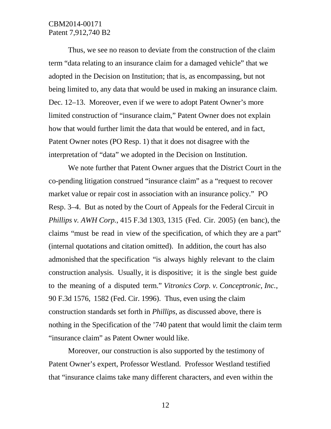Thus, we see no reason to deviate from the construction of the claim term "data relating to an insurance claim for a damaged vehicle" that we adopted in the Decision on Institution; that is, as encompassing, but not being limited to, any data that would be used in making an insurance claim. Dec. 12–13. Moreover, even if we were to adopt Patent Owner's more limited construction of "insurance claim," Patent Owner does not explain how that would further limit the data that would be entered, and in fact, Patent Owner notes (PO Resp. 1) that it does not disagree with the interpretation of "data" we adopted in the Decision on Institution.

We note further that Patent Owner argues that the District Court in the co-pending litigation construed "insurance claim" as a "request to recover market value or repair cost in association with an insurance policy." PO Resp. 3–4. But as noted by the Court of Appeals for the Federal Circuit in *Phillips v. AWH Corp.*, 415 F.3d 1303, 1315 (Fed. Cir. 2005) (en banc), the claims "must be read in view of the specification, of which they are a part" (internal quotations and citation omitted). In addition, the court has also admonished that the specification "is always highly relevant to the claim construction analysis. Usually, it is dispositive; it is the single best guide to the meaning of a disputed term." *Vitronics Corp. v. Conceptronic, Inc.*, 90 F.3d 1576, 1582 (Fed. Cir. 1996). Thus, even using the claim construction standards set forth in *Phillips,* as discussed above, there is nothing in the Specification of the '740 patent that would limit the claim term "insurance claim" as Patent Owner would like.

Moreover, our construction is also supported by the testimony of Patent Owner's expert, Professor Westland. Professor Westland testified that "insurance claims take many different characters, and even within the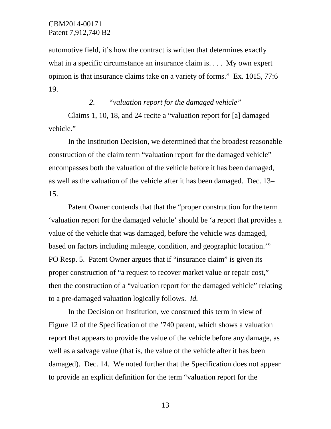automotive field, it's how the contract is written that determines exactly what in a specific circumstance an insurance claim is. . . . My own expert opinion is that insurance claims take on a variety of forms." Ex. 1015, 77:6– 19.

#### *2. "valuation report for the damaged vehicle"*

Claims 1, 10, 18, and 24 recite a "valuation report for [a] damaged vehicle."

In the Institution Decision, we determined that the broadest reasonable construction of the claim term "valuation report for the damaged vehicle" encompasses both the valuation of the vehicle before it has been damaged, as well as the valuation of the vehicle after it has been damaged. Dec. 13– 15.

Patent Owner contends that that the "proper construction for the term 'valuation report for the damaged vehicle' should be 'a report that provides a value of the vehicle that was damaged, before the vehicle was damaged, based on factors including mileage, condition, and geographic location.'" PO Resp. 5. Patent Owner argues that if "insurance claim" is given its proper construction of "a request to recover market value or repair cost," then the construction of a "valuation report for the damaged vehicle" relating to a pre-damaged valuation logically follows. *Id.*

In the Decision on Institution, we construed this term in view of Figure 12 of the Specification of the '740 patent, which shows a valuation report that appears to provide the value of the vehicle before any damage, as well as a salvage value (that is, the value of the vehicle after it has been damaged). Dec. 14. We noted further that the Specification does not appear to provide an explicit definition for the term "valuation report for the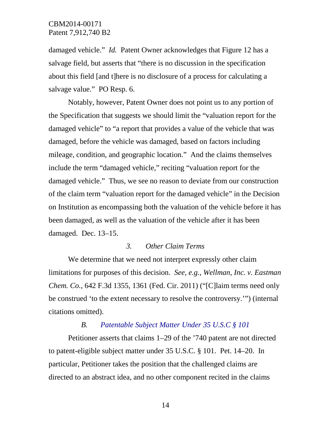damaged vehicle." *Id.* Patent Owner acknowledges that Figure 12 has a salvage field, but asserts that "there is no discussion in the specification about this field [and t]here is no disclosure of a process for calculating a salvage value." PO Resp. 6.

Notably, however, Patent Owner does not point us to any portion of the Specification that suggests we should limit the "valuation report for the damaged vehicle" to "a report that provides a value of the vehicle that was damaged, before the vehicle was damaged, based on factors including mileage, condition, and geographic location." And the claims themselves include the term "damaged vehicle," reciting "valuation report for the damaged vehicle." Thus, we see no reason to deviate from our construction of the claim term "valuation report for the damaged vehicle" in the Decision on Institution as encompassing both the valuation of the vehicle before it has been damaged, as well as the valuation of the vehicle after it has been damaged. Dec. 13–15.

#### *3. Other Claim Terms*

We determine that we need not interpret expressly other claim limitations for purposes of this decision. *See, e.g.*, *Wellman, Inc. v. Eastman Chem. Co.*, 642 F.3d 1355, 1361 (Fed. Cir. 2011) ("[C]laim terms need only be construed 'to the extent necessary to resolve the controversy.'") (internal citations omitted).

#### *B. Patentable Subject Matter Under 35 U.S.C § 101*

Petitioner asserts that claims 1–29 of the '740 patent are not directed to patent-eligible subject matter under 35 U.S.C. § 101. Pet. 14–20. In particular, Petitioner takes the position that the challenged claims are directed to an abstract idea, and no other component recited in the claims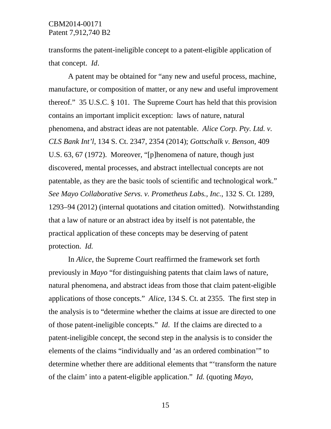transforms the patent-ineligible concept to a patent-eligible application of that concept. *Id*.

A patent may be obtained for "any new and useful process, machine, manufacture, or composition of matter, or any new and useful improvement thereof." 35 U.S.C. § 101. The Supreme Court has held that this provision contains an important implicit exception: laws of nature, natural phenomena, and abstract ideas are not patentable. *Alice Corp. Pty. Ltd. v. CLS Bank Int'l*, 134 S. Ct. 2347, 2354 (2014); *Gottschalk v. Benson*, 409 U.S. 63, 67 (1972). Moreover, "[p]henomena of nature, though just discovered, mental processes, and abstract intellectual concepts are not patentable, as they are the basic tools of scientific and technological work." *See Mayo Collaborative Servs. v. Prometheus Labs., Inc.*, 132 S. Ct. 1289, 1293–94 (2012) (internal quotations and citation omitted). Notwithstanding that a law of nature or an abstract idea by itself is not patentable, the practical application of these concepts may be deserving of patent protection. *Id.*

In *Alice*, the Supreme Court reaffirmed the framework set forth previously in *Mayo* "for distinguishing patents that claim laws of nature, natural phenomena, and abstract ideas from those that claim patent-eligible applications of those concepts." *Alice*, 134 S. Ct. at 2355. The first step in the analysis is to "determine whether the claims at issue are directed to one of those patent-ineligible concepts." *Id*. If the claims are directed to a patent-ineligible concept, the second step in the analysis is to consider the elements of the claims "individually and 'as an ordered combination'" to determine whether there are additional elements that "'transform the nature of the claim' into a patent-eligible application." *Id.* (quoting *Mayo*,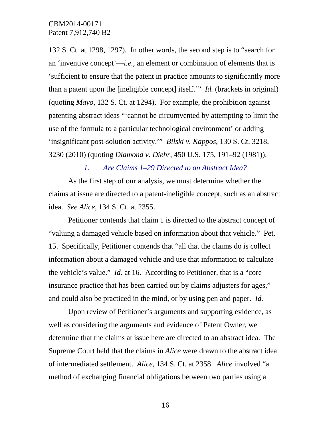132 S. Ct. at 1298, 1297). In other words, the second step is to "search for an 'inventive concept'—*i.e.*, an element or combination of elements that is 'sufficient to ensure that the patent in practice amounts to significantly more than a patent upon the [ineligible concept] itself.'" *Id.* (brackets in original) (quoting *Mayo*, 132 S. Ct. at 1294). For example, the prohibition against patenting abstract ideas "'cannot be circumvented by attempting to limit the use of the formula to a particular technological environment' or adding 'insignificant post-solution activity.'" *Bilski v. Kappos*, 130 S. Ct. 3218, 3230 (2010) (quoting *Diamond v. Diehr*, 450 U.S. 175, 191–92 (1981)).

#### *1. Are Claims 1–29 Directed to an Abstract Idea?*

As the first step of our analysis, we must determine whether the claims at issue are directed to a patent-ineligible concept, such as an abstract idea. *See Alice*, 134 S. Ct. at 2355.

Petitioner contends that claim 1 is directed to the abstract concept of "valuing a damaged vehicle based on information about that vehicle." Pet. 15. Specifically, Petitioner contends that "all that the claims do is collect information about a damaged vehicle and use that information to calculate the vehicle's value." *Id.* at 16. According to Petitioner, that is a "core insurance practice that has been carried out by claims adjusters for ages," and could also be practiced in the mind, or by using pen and paper. *Id.* 

Upon review of Petitioner's arguments and supporting evidence, as well as considering the arguments and evidence of Patent Owner, we determine that the claims at issue here are directed to an abstract idea. The Supreme Court held that the claims in *Alice* were drawn to the abstract idea of intermediated settlement. *Alice*, 134 S. Ct. at 2358. *Alice* involved "a method of exchanging financial obligations between two parties using a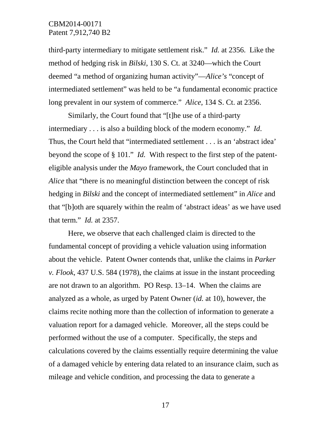third-party intermediary to mitigate settlement risk." *Id.* at 2356. Like the method of hedging risk in *Bilski*, 130 S. Ct. at 3240—which the Court deemed "a method of organizing human activity"—*Alice's* "concept of intermediated settlement" was held to be "a fundamental economic practice long prevalent in our system of commerce." *Alice*, 134 S. Ct. at 2356.

Similarly, the Court found that "[t]he use of a third-party intermediary . . . is also a building block of the modern economy." *Id*. Thus, the Court held that "intermediated settlement . . . is an 'abstract idea' beyond the scope of § 101." *Id.* With respect to the first step of the patenteligible analysis under the *Mayo* framework, the Court concluded that in *Alice* that "there is no meaningful distinction between the concept of risk hedging in *Bilski* and the concept of intermediated settlement" in *Alice* and that "[b]oth are squarely within the realm of 'abstract ideas' as we have used that term." *Id.* at 2357.

Here, we observe that each challenged claim is directed to the fundamental concept of providing a vehicle valuation using information about the vehicle. Patent Owner contends that, unlike the claims in *Parker v. Flook*, 437 U.S. 584 (1978), the claims at issue in the instant proceeding are not drawn to an algorithm. PO Resp. 13–14. When the claims are analyzed as a whole, as urged by Patent Owner (*id.* at 10), however, the claims recite nothing more than the collection of information to generate a valuation report for a damaged vehicle. Moreover, all the steps could be performed without the use of a computer. Specifically, the steps and calculations covered by the claims essentially require determining the value of a damaged vehicle by entering data related to an insurance claim, such as mileage and vehicle condition, and processing the data to generate a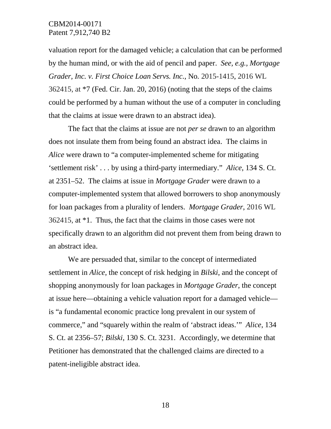valuation report for the damaged vehicle; a calculation that can be performed by the human mind, or with the aid of pencil and paper. *See, e.g., Mortgage Grader, Inc. v. First Choice Loan Servs. Inc.*, No*.* 2015-1415, 2016 WL 362415, at \*7 (Fed. Cir. Jan. 20, 2016) (noting that the steps of the claims could be performed by a human without the use of a computer in concluding that the claims at issue were drawn to an abstract idea).

The fact that the claims at issue are not *per se* drawn to an algorithm does not insulate them from being found an abstract idea. The claims in *Alice* were drawn to "a computer-implemented scheme for mitigating 'settlement risk' . . . by using a third-party intermediary." *Alice*, 134 S. Ct. at 2351–52. The claims at issue in *Mortgage Grader* were drawn to a computer-implemented system that allowed borrowers to shop anonymously for loan packages from a plurality of lenders. *Mortgage Grader*, 2016 WL 362415, at \*1. Thus, the fact that the claims in those cases were not specifically drawn to an algorithm did not prevent them from being drawn to an abstract idea.

We are persuaded that, similar to the concept of intermediated settlement in *Alice*, the concept of risk hedging in *Bilski*, and the concept of shopping anonymously for loan packages in *Mortgage Grader*, the concept at issue here—obtaining a vehicle valuation report for a damaged vehicle is "a fundamental economic practice long prevalent in our system of commerce," and "squarely within the realm of 'abstract ideas.'" *Alice*, 134 S. Ct. at 2356–57; *Bilski*, 130 S. Ct. 3231. Accordingly, we determine that Petitioner has demonstrated that the challenged claims are directed to a patent-ineligible abstract idea.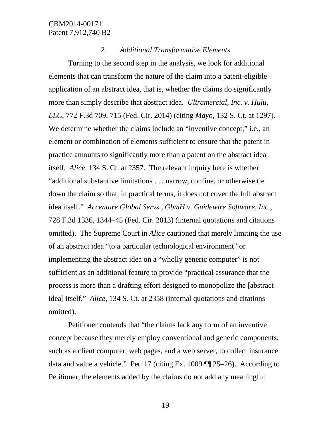## *2. Additional Transformative Elements*

Turning to the second step in the analysis, we look for additional elements that can transform the nature of the claim into a patent-eligible application of an abstract idea, that is, whether the claims do significantly more than simply describe that abstract idea. *Ultramercial, Inc. v. Hulu*, *LLC*, 772 F.3d 709, 715 (Fed. Cir. 2014) (citing *Mayo*, 132 S. Ct. at 1297). We determine whether the claims include an "inventive concept," i.e., an element or combination of elements sufficient to ensure that the patent in practice amounts to significantly more than a patent on the abstract idea itself. *Alice*, 134 S. Ct. at 2357. The relevant inquiry here is whether "additional substantive limitations . . . narrow, confine, or otherwise tie down the claim so that, in practical terms, it does not cover the full abstract idea itself." *Accenture Global Servs., GbmH v. Guidewire Software, Inc.*, 728 F.3d 1336, 1344–45 (Fed. Cir. 2013) (internal quotations and citations omitted). The Supreme Court in *Alice* cautioned that merely limiting the use of an abstract idea "to a particular technological environment" or implementing the abstract idea on a "wholly generic computer" is not sufficient as an additional feature to provide "practical assurance that the process is more than a drafting effort designed to monopolize the [abstract idea] itself." *Alice*, 134 S. Ct. at 2358 (internal quotations and citations omitted).

Petitioner contends that "the claims lack any form of an inventive concept because they merely employ conventional and generic components, such as a client computer, web pages, and a web server, to collect insurance data and value a vehicle." Pet. 17 (citing Ex. 1009 ¶¶ 25–26). According to Petitioner, the elements added by the claims do not add any meaningful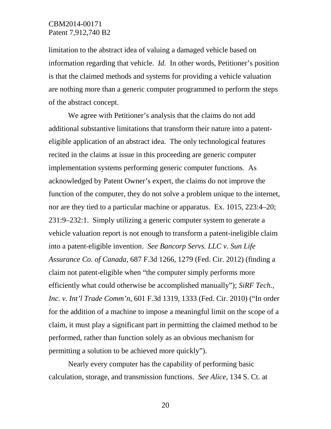limitation to the abstract idea of valuing a damaged vehicle based on information regarding that vehicle. *Id.* In other words, Petitioner's position is that the claimed methods and systems for providing a vehicle valuation are nothing more than a generic computer programmed to perform the steps of the abstract concept.

We agree with Petitioner's analysis that the claims do not add additional substantive limitations that transform their nature into a patenteligible application of an abstract idea. The only technological features recited in the claims at issue in this proceeding are generic computer implementation systems performing generic computer functions. As acknowledged by Patent Owner's expert, the claims do not improve the function of the computer, they do not solve a problem unique to the internet, nor are they tied to a particular machine or apparatus. Ex. 1015, 223:4–20; 231:9–232:1. Simply utilizing a generic computer system to generate a vehicle valuation report is not enough to transform a patent-ineligible claim into a patent-eligible invention. *See Bancorp Servs. LLC v. Sun Life Assurance Co. of Canada*, 687 F.3d 1266, 1279 (Fed. Cir. 2012) (finding a claim not patent-eligible when "the computer simply performs more efficiently what could otherwise be accomplished manually"); *SiRF Tech., Inc. v. Int'l Trade Comm'n*, 601 F.3d 1319, 1333 (Fed. Cir. 2010) ("In order for the addition of a machine to impose a meaningful limit on the scope of a claim, it must play a significant part in permitting the claimed method to be performed, rather than function solely as an obvious mechanism for permitting a solution to be achieved more quickly").

Nearly every computer has the capability of performing basic calculation, storage, and transmission functions. *See Alice*, 134 S. Ct. at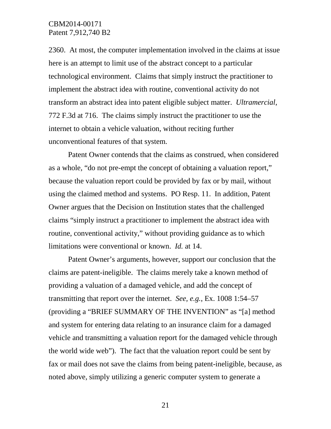2360. At most, the computer implementation involved in the claims at issue here is an attempt to limit use of the abstract concept to a particular technological environment. Claims that simply instruct the practitioner to implement the abstract idea with routine, conventional activity do not transform an abstract idea into patent eligible subject matter. *Ultramercial*, 772 F.3d at 716. The claims simply instruct the practitioner to use the internet to obtain a vehicle valuation, without reciting further unconventional features of that system.

Patent Owner contends that the claims as construed, when considered as a whole, "do not pre-empt the concept of obtaining a valuation report," because the valuation report could be provided by fax or by mail, without using the claimed method and systems. PO Resp. 11. In addition, Patent Owner argues that the Decision on Institution states that the challenged claims "simply instruct a practitioner to implement the abstract idea with routine, conventional activity," without providing guidance as to which limitations were conventional or known. *Id.* at 14.

Patent Owner's arguments, however, support our conclusion that the claims are patent-ineligible. The claims merely take a known method of providing a valuation of a damaged vehicle, and add the concept of transmitting that report over the internet. *See, e.g.*, Ex. 1008 1:54–57 (providing a "BRIEF SUMMARY OF THE INVENTION" as "[a] method and system for entering data relating to an insurance claim for a damaged vehicle and transmitting a valuation report for the damaged vehicle through the world wide web"). The fact that the valuation report could be sent by fax or mail does not save the claims from being patent-ineligible, because, as noted above, simply utilizing a generic computer system to generate a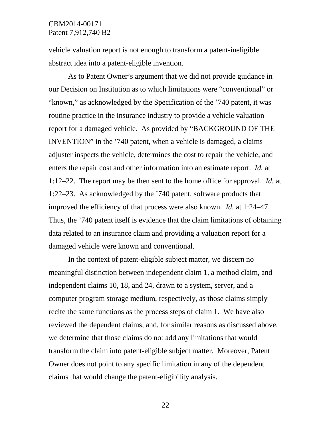vehicle valuation report is not enough to transform a patent-ineligible abstract idea into a patent-eligible invention.

As to Patent Owner's argument that we did not provide guidance in our Decision on Institution as to which limitations were "conventional" or "known," as acknowledged by the Specification of the '740 patent, it was routine practice in the insurance industry to provide a vehicle valuation report for a damaged vehicle. As provided by "BACKGROUND OF THE INVENTION" in the '740 patent, when a vehicle is damaged, a claims adjuster inspects the vehicle, determines the cost to repair the vehicle, and enters the repair cost and other information into an estimate report. *Id.* at 1:12–22. The report may be then sent to the home office for approval. *Id.* at 1:22–23. As acknowledged by the '740 patent, software products that improved the efficiency of that process were also known. *Id.* at 1:24–47. Thus, the '740 patent itself is evidence that the claim limitations of obtaining data related to an insurance claim and providing a valuation report for a damaged vehicle were known and conventional.

In the context of patent-eligible subject matter, we discern no meaningful distinction between independent claim 1, a method claim, and independent claims 10, 18, and 24, drawn to a system, server, and a computer program storage medium, respectively, as those claims simply recite the same functions as the process steps of claim 1. We have also reviewed the dependent claims, and, for similar reasons as discussed above, we determine that those claims do not add any limitations that would transform the claim into patent-eligible subject matter. Moreover, Patent Owner does not point to any specific limitation in any of the dependent claims that would change the patent-eligibility analysis.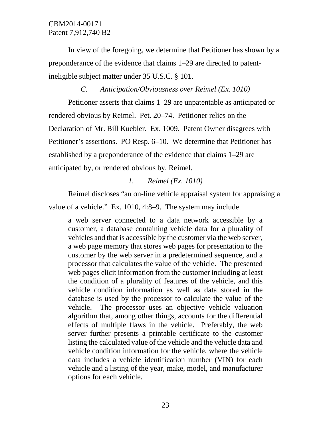In view of the foregoing, we determine that Petitioner has shown by a preponderance of the evidence that claims 1–29 are directed to patentineligible subject matter under 35 U.S.C. § 101.

## *C. Anticipation/Obviousness over Reimel (Ex. 1010)*

Petitioner asserts that claims 1–29 are unpatentable as anticipated or rendered obvious by Reimel. Pet. 20–74. Petitioner relies on the Declaration of Mr. Bill Kuebler. Ex. 1009. Patent Owner disagrees with Petitioner's assertions. PO Resp. 6–10. We determine that Petitioner has established by a preponderance of the evidence that claims 1–29 are anticipated by, or rendered obvious by, Reimel.

## *1. Reimel (Ex. 1010)*

Reimel discloses "an on-line vehicle appraisal system for appraising a value of a vehicle." Ex. 1010, 4:8–9. The system may include

a web server connected to a data network accessible by a customer, a database containing vehicle data for a plurality of vehicles and that is accessible by the customer via the web server, a web page memory that stores web pages for presentation to the customer by the web server in a predetermined sequence, and a processor that calculates the value of the vehicle. The presented web pages elicit information from the customer including at least the condition of a plurality of features of the vehicle, and this vehicle condition information as well as data stored in the database is used by the processor to calculate the value of the vehicle. The processor uses an objective vehicle valuation algorithm that, among other things, accounts for the differential effects of multiple flaws in the vehicle. Preferably, the web server further presents a printable certificate to the customer listing the calculated value of the vehicle and the vehicle data and vehicle condition information for the vehicle, where the vehicle data includes a vehicle identification number (VIN) for each vehicle and a listing of the year, make, model, and manufacturer options for each vehicle.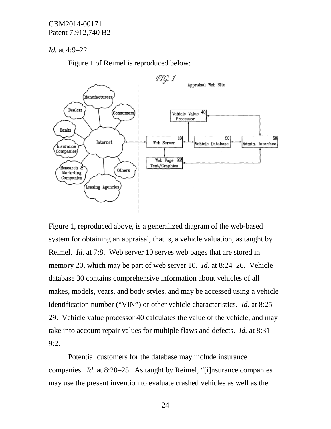*Id.* at 4:9–22.

Figure 1 of Reimel is reproduced below:



Figure 1, reproduced above, is a generalized diagram of the web-based system for obtaining an appraisal, that is, a vehicle valuation, as taught by Reimel. *Id.* at 7:8. Web server 10 serves web pages that are stored in memory 20, which may be part of web server 10. *Id.* at 8:24–26. Vehicle database 30 contains comprehensive information about vehicles of all makes, models, years, and body styles, and may be accessed using a vehicle identification number ("VIN") or other vehicle characteristics. *Id.* at 8:25– 29. Vehicle value processor 40 calculates the value of the vehicle, and may take into account repair values for multiple flaws and defects. *Id.* at 8:31– 9:2.

Potential customers for the database may include insurance companies. *Id.* at 8:20–25. As taught by Reimel, "[i]nsurance companies may use the present invention to evaluate crashed vehicles as well as the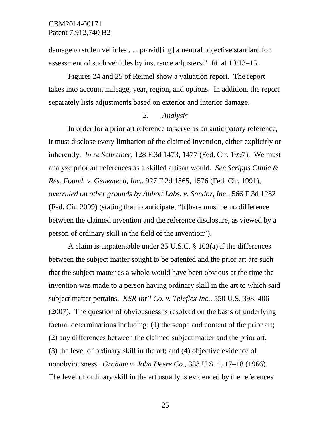damage to stolen vehicles . . . provid[ing] a neutral objective standard for assessment of such vehicles by insurance adjusters." *Id.* at 10:13–15.

Figures 24 and 25 of Reimel show a valuation report. The report takes into account mileage, year, region, and options. In addition, the report separately lists adjustments based on exterior and interior damage.

#### *2. Analysis*

In order for a prior art reference to serve as an anticipatory reference, it must disclose every limitation of the claimed invention, either explicitly or inherently. *In re Schreiber*, 128 F.3d 1473, 1477 (Fed. Cir. 1997). We must analyze prior art references as a skilled artisan would. *See Scripps Clinic & Res. Found. v. Genentech, Inc.*, 927 F.2d 1565, 1576 (Fed. Cir. 1991), *overruled on other grounds by Abbott Labs. v. Sandoz, Inc.*, 566 F.3d 1282 (Fed. Cir. 2009) (stating that to anticipate, "[t]here must be no difference between the claimed invention and the reference disclosure, as viewed by a person of ordinary skill in the field of the invention").

A claim is unpatentable under 35 U.S.C. § 103(a) if the differences between the subject matter sought to be patented and the prior art are such that the subject matter as a whole would have been obvious at the time the invention was made to a person having ordinary skill in the art to which said subject matter pertains. *KSR Int'l Co. v. Teleflex Inc.*, 550 U.S. 398, 406 (2007). The question of obviousness is resolved on the basis of underlying factual determinations including: (1) the scope and content of the prior art; (2) any differences between the claimed subject matter and the prior art; (3) the level of ordinary skill in the art; and (4) objective evidence of nonobviousness. *Graham v. John Deere Co.*, 383 U.S. 1, 17–18 (1966). The level of ordinary skill in the art usually is evidenced by the references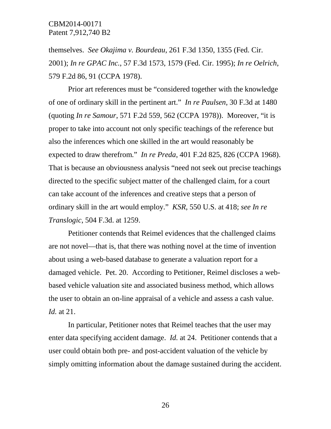themselves. *See Okajima v. Bourdeau*, 261 F.3d 1350, 1355 (Fed. Cir. 2001); *In re GPAC Inc.*, 57 F.3d 1573, 1579 (Fed. Cir. 1995); *In re Oelrich*, 579 F.2d 86, 91 (CCPA 1978).

Prior art references must be "considered together with the knowledge of one of ordinary skill in the pertinent art." *In re Paulsen*, 30 F.3d at 1480 (quoting *In re Samour*, 571 F.2d 559, 562 (CCPA 1978)). Moreover, "it is proper to take into account not only specific teachings of the reference but also the inferences which one skilled in the art would reasonably be expected to draw therefrom." *In re Preda*, 401 F.2d 825, 826 (CCPA 1968). That is because an obviousness analysis "need not seek out precise teachings directed to the specific subject matter of the challenged claim, for a court can take account of the inferences and creative steps that a person of ordinary skill in the art would employ." *KSR*, 550 U.S. at 418; *see In re Translogic*, 504 F.3d. at 1259.

Petitioner contends that Reimel evidences that the challenged claims are not novel—that is, that there was nothing novel at the time of invention about using a web-based database to generate a valuation report for a damaged vehicle. Pet. 20. According to Petitioner, Reimel discloses a webbased vehicle valuation site and associated business method, which allows the user to obtain an on-line appraisal of a vehicle and assess a cash value. *Id.* at 21.

In particular, Petitioner notes that Reimel teaches that the user may enter data specifying accident damage. *Id.* at 24. Petitioner contends that a user could obtain both pre- and post-accident valuation of the vehicle by simply omitting information about the damage sustained during the accident.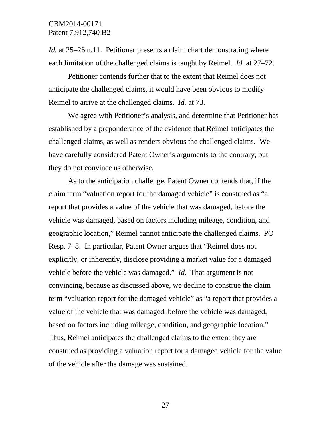*Id.* at 25–26 n.11. Petitioner presents a claim chart demonstrating where each limitation of the challenged claims is taught by Reimel. *Id.* at 27–72.

Petitioner contends further that to the extent that Reimel does not anticipate the challenged claims, it would have been obvious to modify Reimel to arrive at the challenged claims. *Id.* at 73.

We agree with Petitioner's analysis, and determine that Petitioner has established by a preponderance of the evidence that Reimel anticipates the challenged claims, as well as renders obvious the challenged claims. We have carefully considered Patent Owner's arguments to the contrary, but they do not convince us otherwise.

As to the anticipation challenge, Patent Owner contends that, if the claim term "valuation report for the damaged vehicle" is construed as "a report that provides a value of the vehicle that was damaged, before the vehicle was damaged, based on factors including mileage, condition, and geographic location," Reimel cannot anticipate the challenged claims. PO Resp. 7–8. In particular, Patent Owner argues that "Reimel does not explicitly, or inherently, disclose providing a market value for a damaged vehicle before the vehicle was damaged." *Id*. That argument is not convincing, because as discussed above, we decline to construe the claim term "valuation report for the damaged vehicle" as "a report that provides a value of the vehicle that was damaged, before the vehicle was damaged, based on factors including mileage, condition, and geographic location." Thus, Reimel anticipates the challenged claims to the extent they are construed as providing a valuation report for a damaged vehicle for the value of the vehicle after the damage was sustained.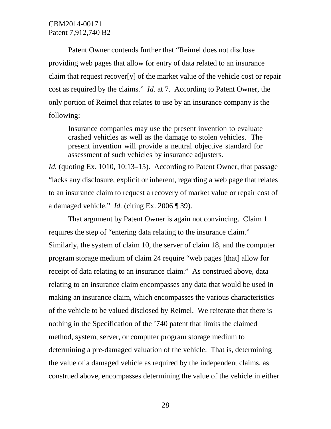Patent Owner contends further that "Reimel does not disclose providing web pages that allow for entry of data related to an insurance claim that request recover[y] of the market value of the vehicle cost or repair cost as required by the claims." *Id.* at 7. According to Patent Owner, the only portion of Reimel that relates to use by an insurance company is the following:

Insurance companies may use the present invention to evaluate crashed vehicles as well as the damage to stolen vehicles. The present invention will provide a neutral objective standard for assessment of such vehicles by insurance adjusters.

*Id.* (quoting Ex. 1010, 10:13–15). According to Patent Owner, that passage "lacks any disclosure, explicit or inherent, regarding a web page that relates to an insurance claim to request a recovery of market value or repair cost of a damaged vehicle." *Id.* (citing Ex. 2006 ¶ 39).

That argument by Patent Owner is again not convincing. Claim 1 requires the step of "entering data relating to the insurance claim." Similarly, the system of claim 10, the server of claim 18, and the computer program storage medium of claim 24 require "web pages [that] allow for receipt of data relating to an insurance claim." As construed above, data relating to an insurance claim encompasses any data that would be used in making an insurance claim, which encompasses the various characteristics of the vehicle to be valued disclosed by Reimel. We reiterate that there is nothing in the Specification of the '740 patent that limits the claimed method, system, server, or computer program storage medium to determining a pre-damaged valuation of the vehicle. That is, determining the value of a damaged vehicle as required by the independent claims, as construed above, encompasses determining the value of the vehicle in either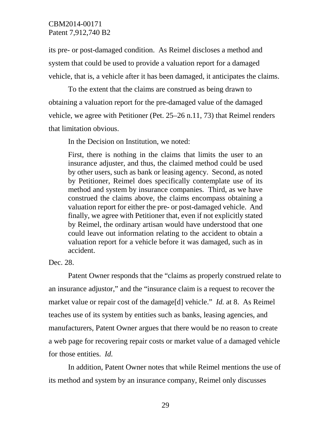its pre- or post-damaged condition. As Reimel discloses a method and system that could be used to provide a valuation report for a damaged vehicle, that is, a vehicle after it has been damaged, it anticipates the claims.

To the extent that the claims are construed as being drawn to obtaining a valuation report for the pre-damaged value of the damaged vehicle, we agree with Petitioner (Pet. 25–26 n.11, 73) that Reimel renders that limitation obvious.

In the Decision on Institution, we noted:

First, there is nothing in the claims that limits the user to an insurance adjuster, and thus, the claimed method could be used by other users, such as bank or leasing agency. Second, as noted by Petitioner, Reimel does specifically contemplate use of its method and system by insurance companies. Third, as we have construed the claims above, the claims encompass obtaining a valuation report for either the pre- or post-damaged vehicle. And finally, we agree with Petitioner that, even if not explicitly stated by Reimel, the ordinary artisan would have understood that one could leave out information relating to the accident to obtain a valuation report for a vehicle before it was damaged, such as in accident.

#### Dec. 28.

Patent Owner responds that the "claims as properly construed relate to an insurance adjustor," and the "insurance claim is a request to recover the market value or repair cost of the damage[d] vehicle." *Id.* at 8. As Reimel teaches use of its system by entities such as banks, leasing agencies, and manufacturers, Patent Owner argues that there would be no reason to create a web page for recovering repair costs or market value of a damaged vehicle for those entities. *Id.*

In addition, Patent Owner notes that while Reimel mentions the use of its method and system by an insurance company, Reimel only discusses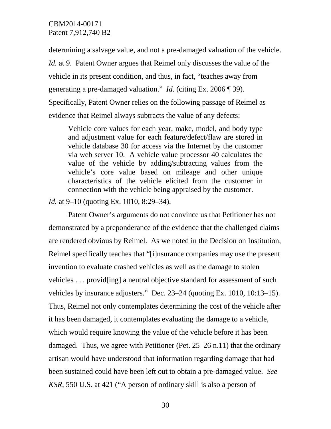determining a salvage value, and not a pre-damaged valuation of the vehicle. *Id.* at 9. Patent Owner argues that Reimel only discusses the value of the vehicle in its present condition, and thus, in fact, "teaches away from generating a pre-damaged valuation." *Id*. (citing Ex. 2006 ¶ 39). Specifically, Patent Owner relies on the following passage of Reimel as evidence that Reimel always subtracts the value of any defects:

Vehicle core values for each year, make, model, and body type and adjustment value for each feature/defect/flaw are stored in vehicle database 30 for access via the Internet by the customer via web server 10. A vehicle value processor 40 calculates the value of the vehicle by adding/subtracting values from the vehicle's core value based on mileage and other unique characteristics of the vehicle elicited from the customer in connection with the vehicle being appraised by the customer.

*Id.* at 9–10 (quoting Ex. 1010, 8:29–34).

Patent Owner's arguments do not convince us that Petitioner has not demonstrated by a preponderance of the evidence that the challenged claims are rendered obvious by Reimel. As we noted in the Decision on Institution, Reimel specifically teaches that "[i]nsurance companies may use the present invention to evaluate crashed vehicles as well as the damage to stolen vehicles . . . provid[ing] a neutral objective standard for assessment of such vehicles by insurance adjusters." Dec. 23–24 (quoting Ex. 1010, 10:13–15). Thus, Reimel not only contemplates determining the cost of the vehicle after it has been damaged, it contemplates evaluating the damage to a vehicle, which would require knowing the value of the vehicle before it has been damaged. Thus, we agree with Petitioner (Pet. 25–26 n.11) that the ordinary artisan would have understood that information regarding damage that had been sustained could have been left out to obtain a pre-damaged value. *See KSR*, 550 U.S. at 421 ("A person of ordinary skill is also a person of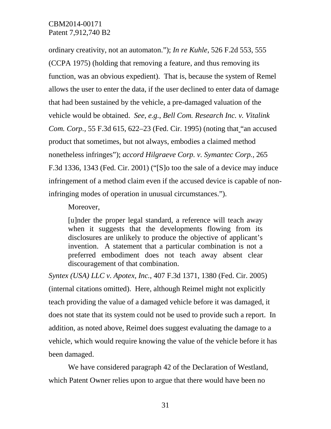ordinary creativity, not an automaton."); *In re Kuhle*, 526 F.2d 553, 555 (CCPA 1975) (holding that removing a feature, and thus removing its function, was an obvious expedient). That is, because the system of Remel allows the user to enter the data, if the user declined to enter data of damage that had been sustained by the vehicle, a pre-damaged valuation of the vehicle would be obtained. *See*, *e.g.*, *Bell Com. Research Inc. v. Vitalink Com. Corp.,* 55 F.3d 615, 622–23 (Fed. Cir. 1995) (noting that "an accused product that sometimes, but not always, embodies a claimed method nonetheless infringes"); *accord Hilgraeve Corp. v. Symantec Corp.,* 265 F.3d 1336, 1343 (Fed. Cir. 2001) ("[S]o too the sale of a device may induce infringement of a method claim even if the accused device is capable of noninfringing modes of operation in unusual circumstances.").

Moreover,

[u]nder the proper legal standard, a reference will teach away when it suggests that the developments flowing from its disclosures are unlikely to produce the objective of applicant's invention. A statement that a particular combination is not a preferred embodiment does not teach away absent clear discouragement of that combination.

*Syntex (USA) LLC v. Apotex, Inc.*, 407 F.3d 1371, 1380 (Fed. Cir. 2005) (internal citations omitted). Here, although Reimel might not explicitly teach providing the value of a damaged vehicle before it was damaged, it does not state that its system could not be used to provide such a report. In addition, as noted above, Reimel does suggest evaluating the damage to a vehicle, which would require knowing the value of the vehicle before it has been damaged.

We have considered paragraph 42 of the Declaration of Westland, which Patent Owner relies upon to argue that there would have been no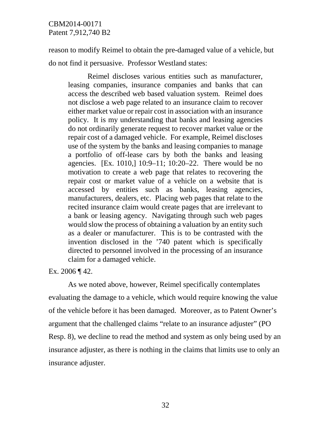reason to modify Reimel to obtain the pre-damaged value of a vehicle, but do not find it persuasive. Professor Westland states:

Reimel discloses various entities such as manufacturer, leasing companies, insurance companies and banks that can access the described web based valuation system. Reimel does not disclose a web page related to an insurance claim to recover either market value or repair cost in association with an insurance policy. It is my understanding that banks and leasing agencies do not ordinarily generate request to recover market value or the repair cost of a damaged vehicle. For example, Reimel discloses use of the system by the banks and leasing companies to manage a portfolio of off-lease cars by both the banks and leasing agencies. [Ex. 1010,] 10:9–11; 10:20–22. There would be no motivation to create a web page that relates to recovering the repair cost or market value of a vehicle on a website that is accessed by entities such as banks, leasing agencies, manufacturers, dealers, etc. Placing web pages that relate to the recited insurance claim would create pages that are irrelevant to a bank or leasing agency. Navigating through such web pages would slow the process of obtaining a valuation by an entity such as a dealer or manufacturer. This is to be contrasted with the invention disclosed in the '740 patent which is specifically directed to personnel involved in the processing of an insurance claim for a damaged vehicle.

Ex. 2006 ¶ 42.

As we noted above, however, Reimel specifically contemplates evaluating the damage to a vehicle, which would require knowing the value of the vehicle before it has been damaged. Moreover, as to Patent Owner's argument that the challenged claims "relate to an insurance adjuster" (PO Resp. 8), we decline to read the method and system as only being used by an insurance adjuster, as there is nothing in the claims that limits use to only an insurance adjuster.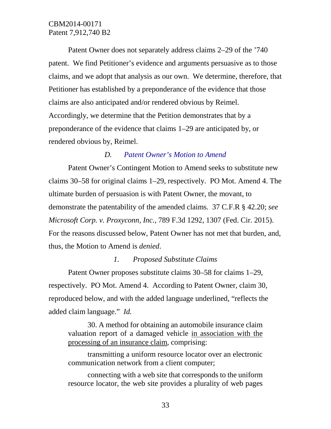Patent Owner does not separately address claims 2–29 of the '740 patent. We find Petitioner's evidence and arguments persuasive as to those claims, and we adopt that analysis as our own. We determine, therefore, that Petitioner has established by a preponderance of the evidence that those claims are also anticipated and/or rendered obvious by Reimel. Accordingly, we determine that the Petition demonstrates that by a preponderance of the evidence that claims 1–29 are anticipated by, or rendered obvious by, Reimel.

### *D. Patent Owner's Motion to Amend*

Patent Owner's Contingent Motion to Amend seeks to substitute new claims 30–58 for original claims 1–29, respectively. PO Mot. Amend 4. The ultimate burden of persuasion is with Patent Owner, the movant, to demonstrate the patentability of the amended claims. 37 C.F.R § 42.20; *see Microsoft Corp. v. Proxyconn, Inc.*, 789 F.3d 1292, 1307 (Fed. Cir. 2015). For the reasons discussed below, Patent Owner has not met that burden, and, thus, the Motion to Amend is *denied*.

#### *1. Proposed Substitute Claims*

Patent Owner proposes substitute claims 30–58 for claims 1–29, respectively. PO Mot. Amend 4. According to Patent Owner, claim 30, reproduced below, and with the added language underlined, "reflects the added claim language." *Id.*

30. A method for obtaining an automobile insurance claim valuation report of a damaged vehicle in association with the processing of an insurance claim, comprising:

transmitting a uniform resource locator over an electronic communication network from a client computer;

connecting with a web site that corresponds to the uniform resource locator, the web site provides a plurality of web pages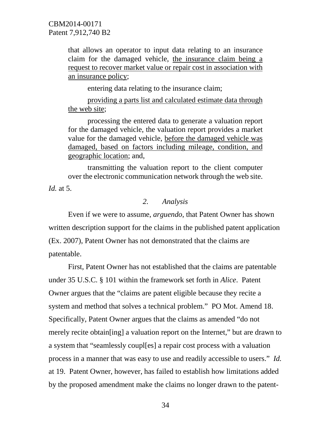that allows an operator to input data relating to an insurance claim for the damaged vehicle, the insurance claim being a request to recover market value or repair cost in association with an insurance policy;

entering data relating to the insurance claim;

providing a parts list and calculated estimate data through the web site;

processing the entered data to generate a valuation report for the damaged vehicle, the valuation report provides a market value for the damaged vehicle, before the damaged vehicle was damaged, based on factors including mileage, condition, and geographic location; and,

transmitting the valuation report to the client computer over the electronic communication network through the web site.

*Id.* at 5.

#### *2. Analysis*

Even if we were to assume, *arguendo*, that Patent Owner has shown written description support for the claims in the published patent application (Ex. 2007), Patent Owner has not demonstrated that the claims are patentable.

First, Patent Owner has not established that the claims are patentable under 35 U.S.C. § 101 within the framework set forth in *Alice*. Patent Owner argues that the "claims are patent eligible because they recite a system and method that solves a technical problem." PO Mot. Amend 18. Specifically, Patent Owner argues that the claims as amended "do not merely recite obtain[ing] a valuation report on the Internet," but are drawn to a system that "seamlessly coupl[es] a repair cost process with a valuation process in a manner that was easy to use and readily accessible to users." *Id.* at 19. Patent Owner, however, has failed to establish how limitations added by the proposed amendment make the claims no longer drawn to the patent-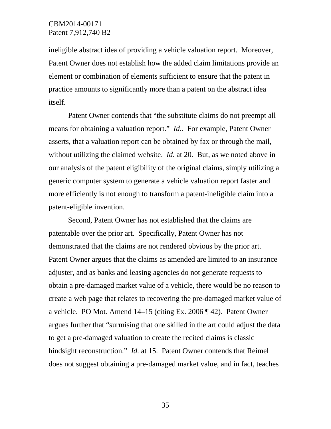ineligible abstract idea of providing a vehicle valuation report. Moreover, Patent Owner does not establish how the added claim limitations provide an element or combination of elements sufficient to ensure that the patent in practice amounts to significantly more than a patent on the abstract idea itself.

Patent Owner contends that "the substitute claims do not preempt all means for obtaining a valuation report." *Id.*. For example, Patent Owner asserts, that a valuation report can be obtained by fax or through the mail, without utilizing the claimed website. *Id.* at 20. But, as we noted above in our analysis of the patent eligibility of the original claims, simply utilizing a generic computer system to generate a vehicle valuation report faster and more efficiently is not enough to transform a patent-ineligible claim into a patent-eligible invention.

Second, Patent Owner has not established that the claims are patentable over the prior art. Specifically, Patent Owner has not demonstrated that the claims are not rendered obvious by the prior art. Patent Owner argues that the claims as amended are limited to an insurance adjuster, and as banks and leasing agencies do not generate requests to obtain a pre-damaged market value of a vehicle, there would be no reason to create a web page that relates to recovering the pre-damaged market value of a vehicle. PO Mot. Amend 14–15 (citing Ex. 2006 ¶ 42). Patent Owner argues further that "surmising that one skilled in the art could adjust the data to get a pre-damaged valuation to create the recited claims is classic hindsight reconstruction." *Id.* at 15. Patent Owner contends that Reimel does not suggest obtaining a pre-damaged market value, and in fact, teaches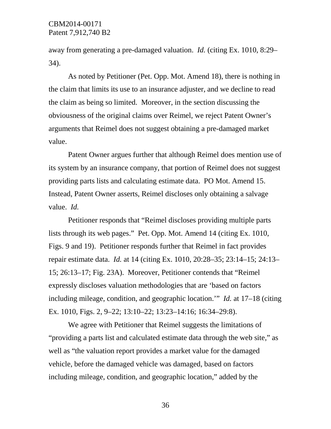away from generating a pre-damaged valuation. *Id.* (citing Ex. 1010, 8:29– 34).

As noted by Petitioner (Pet. Opp. Mot. Amend 18), there is nothing in the claim that limits its use to an insurance adjuster, and we decline to read the claim as being so limited. Moreover, in the section discussing the obviousness of the original claims over Reimel, we reject Patent Owner's arguments that Reimel does not suggest obtaining a pre-damaged market value.

Patent Owner argues further that although Reimel does mention use of its system by an insurance company, that portion of Reimel does not suggest providing parts lists and calculating estimate data. PO Mot. Amend 15. Instead, Patent Owner asserts, Reimel discloses only obtaining a salvage value. *Id.*

Petitioner responds that "Reimel discloses providing multiple parts lists through its web pages." Pet. Opp. Mot. Amend 14 (citing Ex. 1010, Figs. 9 and 19). Petitioner responds further that Reimel in fact provides repair estimate data. *Id.* at 14 (citing Ex. 1010, 20:28–35; 23:14–15; 24:13– 15; 26:13–17; Fig. 23A). Moreover, Petitioner contends that "Reimel expressly discloses valuation methodologies that are 'based on factors including mileage, condition, and geographic location.'" *Id.* at 17–18 (citing Ex. 1010, Figs. 2, 9–22; 13:10–22; 13:23–14:16; 16:34–29:8).

We agree with Petitioner that Reimel suggests the limitations of "providing a parts list and calculated estimate data through the web site," as well as "the valuation report provides a market value for the damaged vehicle, before the damaged vehicle was damaged, based on factors including mileage, condition, and geographic location," added by the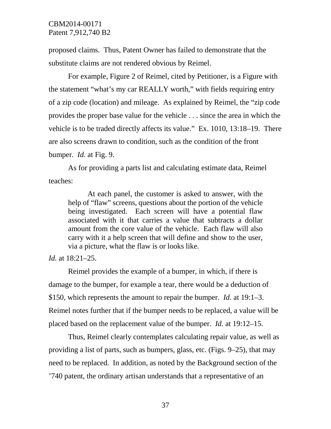proposed claims. Thus, Patent Owner has failed to demonstrate that the substitute claims are not rendered obvious by Reimel.

For example, Figure 2 of Reimel, cited by Petitioner, is a Figure with the statement "what's my car REALLY worth," with fields requiring entry of a zip code (location) and mileage. As explained by Reimel, the "zip code provides the proper base value for the vehicle . . . since the area in which the vehicle is to be traded directly affects its value." Ex. 1010, 13:18–19. There are also screens drawn to condition, such as the condition of the front bumper. *Id.* at Fig. 9.

As for providing a parts list and calculating estimate data, Reimel teaches:

At each panel, the customer is asked to answer, with the help of "flaw" screens, questions about the portion of the vehicle being investigated. Each screen will have a potential flaw associated with it that carries a value that subtracts a dollar amount from the core value of the vehicle. Each flaw will also carry with it a help screen that will define and show to the user, via a picture, what the flaw is or looks like.

*Id.* at 18:21–25.

Reimel provides the example of a bumper, in which, if there is damage to the bumper, for example a tear, there would be a deduction of \$150, which represents the amount to repair the bumper. *Id.* at 19:1–3. Reimel notes further that if the bumper needs to be replaced, a value will be placed based on the replacement value of the bumper. *Id.* at 19:12–15.

Thus, Reimel clearly contemplates calculating repair value, as well as providing a list of parts, such as bumpers, glass, etc. (Figs. 9–25), that may need to be replaced. In addition, as noted by the Background section of the '740 patent, the ordinary artisan understands that a representative of an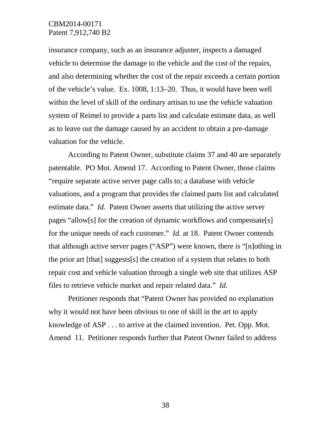insurance company, such as an insurance adjuster, inspects a damaged vehicle to determine the damage to the vehicle and the cost of the repairs, and also determining whether the cost of the repair exceeds a certain portion of the vehicle's value. Ex. 1008, 1:13–20. Thus, it would have been well within the level of skill of the ordinary artisan to use the vehicle valuation system of Reimel to provide a parts list and calculate estimate data, as well as to leave out the damage caused by an accident to obtain a pre-damage valuation for the vehicle.

According to Patent Owner, substitute claims 37 and 40 are separately patentable. PO Mot. Amend 17. According to Patent Owner, those claims "require separate active server page calls to; a database with vehicle valuations, and a program that provides the claimed parts list and calculated estimate data." *Id.* Patent Owner asserts that utilizing the active server pages "allow[s] for the creation of dynamic workflows and compensate[s] for the unique needs of each customer." *Id.* at 18. Patent Owner contends that although active server pages ("ASP") were known, there is "[n]othing in the prior art [that] suggests[s] the creation of a system that relates to both repair cost and vehicle valuation through a single web site that utilizes ASP files to retrieve vehicle market and repair related data." *Id.*

Petitioner responds that "Patent Owner has provided no explanation why it would not have been obvious to one of skill in the art to apply knowledge of ASP . . . to arrive at the claimed invention. Pet. Opp. Mot. Amend 11. Petitioner responds further that Patent Owner failed to address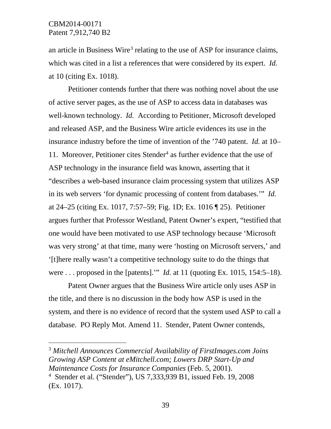an article in Business Wire<sup>[3](#page-38-0)</sup> relating to the use of ASP for insurance claims, which was cited in a list a references that were considered by its expert. *Id.* at 10 (citing Ex. 1018).

Petitioner contends further that there was nothing novel about the use of active server pages, as the use of ASP to access data in databases was well-known technology. *Id.* According to Petitioner, Microsoft developed and released ASP, and the Business Wire article evidences its use in the insurance industry before the time of invention of the '740 patent. *Id.* at 10– 11. Moreover, Petitioner cites Stender<sup>[4](#page-38-1)</sup> as further evidence that the use of ASP technology in the insurance field was known, asserting that it "describes a web-based insurance claim processing system that utilizes ASP in its web servers 'for dynamic processing of content from databases.'" *Id.* at 24–25 (citing Ex. 1017, 7:57–59; Fig. 1D; Ex. 1016 ¶ 25). Petitioner argues further that Professor Westland, Patent Owner's expert, "testified that one would have been motivated to use ASP technology because 'Microsoft was very strong' at that time, many were 'hosting on Microsoft servers,' and '[t]here really wasn't a competitive technology suite to do the things that were . . . proposed in the [patents].'" *Id.* at 11 (quoting Ex. 1015, 154:5–18).

Patent Owner argues that the Business Wire article only uses ASP in the title, and there is no discussion in the body how ASP is used in the system, and there is no evidence of record that the system used ASP to call a database. PO Reply Mot. Amend 11. Stender, Patent Owner contends,

<span id="page-38-0"></span> 3 *Mitchell Announces Commercial Availability of FirstImages.com Joins Growing ASP Content at eMitchell.com; Lowers DRP Start-Up and Maintenance Costs for Insurance Companies* (Feb. 5, 2001).

<span id="page-38-1"></span><sup>4</sup> Stender et al. ("Stender"), US 7,333,939 B1, issued Feb. 19, 2008 (Ex. 1017).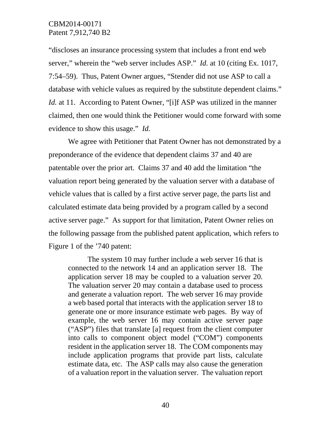"discloses an insurance processing system that includes a front end web server," wherein the "web server includes ASP." *Id.* at 10 (citing Ex. 1017, 7:54–59). Thus, Patent Owner argues, "Stender did not use ASP to call a database with vehicle values as required by the substitute dependent claims." *Id.* at 11. According to Patent Owner, "[i]f ASP was utilized in the manner claimed, then one would think the Petitioner would come forward with some evidence to show this usage." *Id.*

We agree with Petitioner that Patent Owner has not demonstrated by a preponderance of the evidence that dependent claims 37 and 40 are patentable over the prior art. Claims 37 and 40 add the limitation "the valuation report being generated by the valuation server with a database of vehicle values that is called by a first active server page, the parts list and calculated estimate data being provided by a program called by a second active server page." As support for that limitation, Patent Owner relies on the following passage from the published patent application, which refers to Figure 1 of the '740 patent:

The system 10 may further include a web server 16 that is connected to the network 14 and an application server 18. The application server 18 may be coupled to a valuation server 20. The valuation server 20 may contain a database used to process and generate a valuation report. The web server 16 may provide a web based portal that interacts with the application server 18 to generate one or more insurance estimate web pages. By way of example, the web server 16 may contain active server page ("ASP") files that translate [a] request from the client computer into calls to component object model ("COM") components resident in the application server 18. The COM components may include application programs that provide part lists, calculate estimate data, etc. The ASP calls may also cause the generation of a valuation report in the valuation server. The valuation report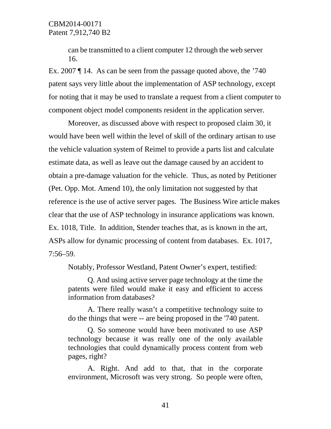can be transmitted to a client computer 12 through the web server 16.

Ex. 2007 ¶ 14. As can be seen from the passage quoted above, the '740 patent says very little about the implementation of ASP technology, except for noting that it may be used to translate a request from a client computer to component object model components resident in the application server.

Moreover, as discussed above with respect to proposed claim 30, it would have been well within the level of skill of the ordinary artisan to use the vehicle valuation system of Reimel to provide a parts list and calculate estimate data, as well as leave out the damage caused by an accident to obtain a pre-damage valuation for the vehicle. Thus, as noted by Petitioner (Pet. Opp. Mot. Amend 10), the only limitation not suggested by that reference is the use of active server pages. The Business Wire article makes clear that the use of ASP technology in insurance applications was known. Ex. 1018, Title. In addition, Stender teaches that, as is known in the art, ASPs allow for dynamic processing of content from databases. Ex. 1017, 7:56–59.

Notably, Professor Westland, Patent Owner's expert, testified:

Q. And using active server page technology at the time the patents were filed would make it easy and efficient to access information from databases?

A. There really wasn't a competitive technology suite to do the things that were -- are being proposed in the '740 patent.

Q. So someone would have been motivated to use ASP technology because it was really one of the only available technologies that could dynamically process content from web pages, right?

A. Right. And add to that, that in the corporate environment, Microsoft was very strong. So people were often,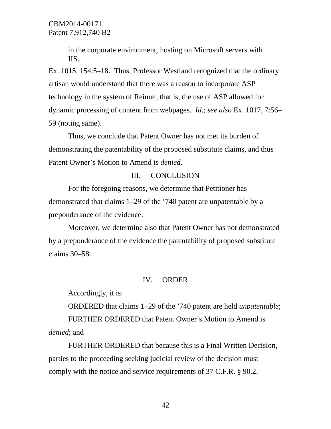in the corporate environment, hosting on Microsoft servers with IIS.

Ex. 1015, 154:5–18. Thus, Professor Westland recognized that the ordinary artisan would understand that there was a reason to incorporate ASP technology in the system of Reimel, that is, the use of ASP allowed for dynamic processing of content from webpages. *Id.*; *see also* Ex. 1017, 7:56– 59 (noting same).

Thus, we conclude that Patent Owner has not met its burden of demonstrating the patentability of the proposed substitute claims, and thus Patent Owner's Motion to Amend is *denied*.

## III. CONCLUSION

For the foregoing reasons, we determine that Petitioner has demonstrated that claims 1–29 of the '740 patent are unpatentable by a preponderance of the evidence.

Moreover, we determine also that Patent Owner has not demonstrated by a preponderance of the evidence the patentability of proposed substitute claims 30–58.

#### IV. ORDER

Accordingly, it is:

ORDERED that claims 1–29 of the '740 patent are held *unpatentable*;

FURTHER ORDERED that Patent Owner's Motion to Amend is *denied*; and

FURTHER ORDERED that because this is a Final Written Decision, parties to the proceeding seeking judicial review of the decision must comply with the notice and service requirements of 37 C.F.R. § 90.2.